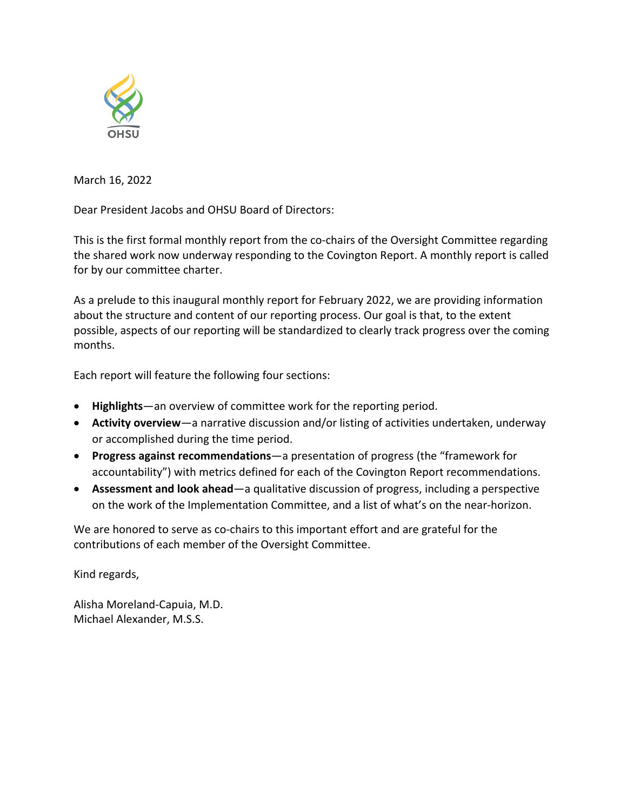

March 16, 2022

Dear President Jacobs and OHSU Board of Directors:

This is the first formal monthly report from the co-chairs of the Oversight Committee regarding the shared work now underway responding to the Covington Report. A monthly report is called for by our committee charter.

As a prelude to this inaugural monthly report for February 2022, we are providing information about the structure and content of our reporting process. Our goal is that, to the extent possible, aspects of our reporting will be standardized to clearly track progress over the coming months.

Each report will feature the following four sections:

- **Highlights**—an overview of committee work for the reporting period.
- **Activity overview**—a narrative discussion and/or listing of activities undertaken, underway or accomplished during the time period.
- **Progress against recommendations**—a presentation of progress (the "framework for accountability") with metrics defined for each of the Covington Report recommendations.
- **Assessment and look ahead**—a qualitative discussion of progress, including a perspective on the work of the Implementation Committee, and a list of what's on the near-horizon.

We are honored to serve as co-chairs to this important effort and are grateful for the contributions of each member of the Oversight Committee.

Kind regards,

Alisha Moreland-Capuia, M.D. Michael Alexander, M.S.S.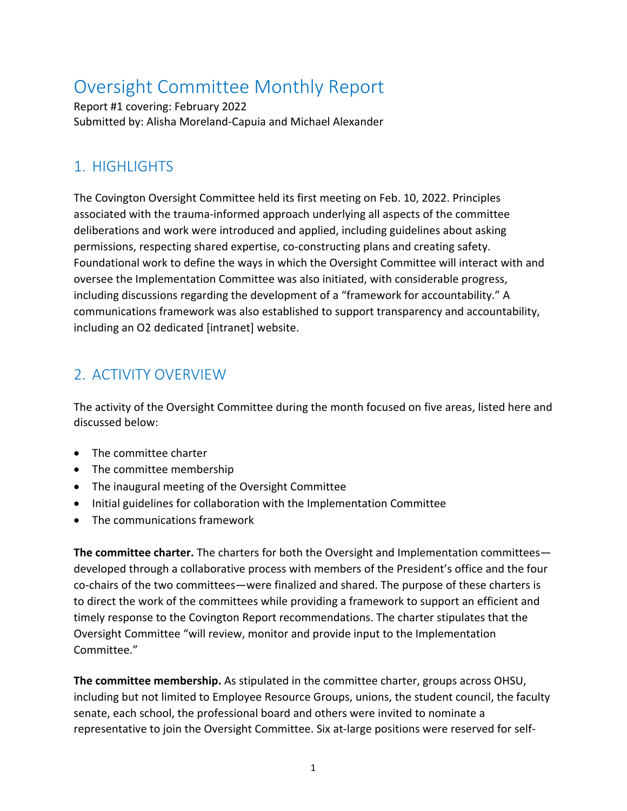# Oversight Committee Monthly Report

Report #1 covering: February 2022 Submitted by: Alisha Moreland-Capuia and Michael Alexander

### 1. HIGHLIGHTS

The Covington Oversight Committee held its first meeting on Feb. 10, 2022. Principles associated with the trauma-informed approach underlying all aspects of the committee deliberations and work were introduced and applied, including guidelines about asking permissions, respecting shared expertise, co-constructing plans and creating safety. Foundational work to define the ways in which the Oversight Committee will interact with and oversee the Implementation Committee was also initiated, with considerable progress, including discussions regarding the development of a "framework for accountability." A communications framework was also established to support transparency and accountability, including an O2 dedicated [intranet] website.

## 2. ACTIVITY OVERVIEW

The activity of the Oversight Committee during the month focused on five areas, listed here and discussed below:

- The committee charter
- The committee membership
- The inaugural meeting of the Oversight Committee
- Initial guidelines for collaboration with the Implementation Committee
- The communications framework

**The committee charter.** The charters for both the Oversight and Implementation committees developed through a collaborative process with members of the President's office and the four co-chairs of the two committees—were finalized and shared. The purpose of these charters is to direct the work of the committees while providing a framework to support an efficient and timely response to the Covington Report recommendations. The charter stipulates that the Oversight Committee "will review, monitor and provide input to the Implementation Committee."

**The committee membership.** As stipulated in the committee charter, groups across OHSU, including but not limited to Employee Resource Groups, unions, the student council, the faculty senate, each school, the professional board and others were invited to nominate a representative to join the Oversight Committee. Six at-large positions were reserved for self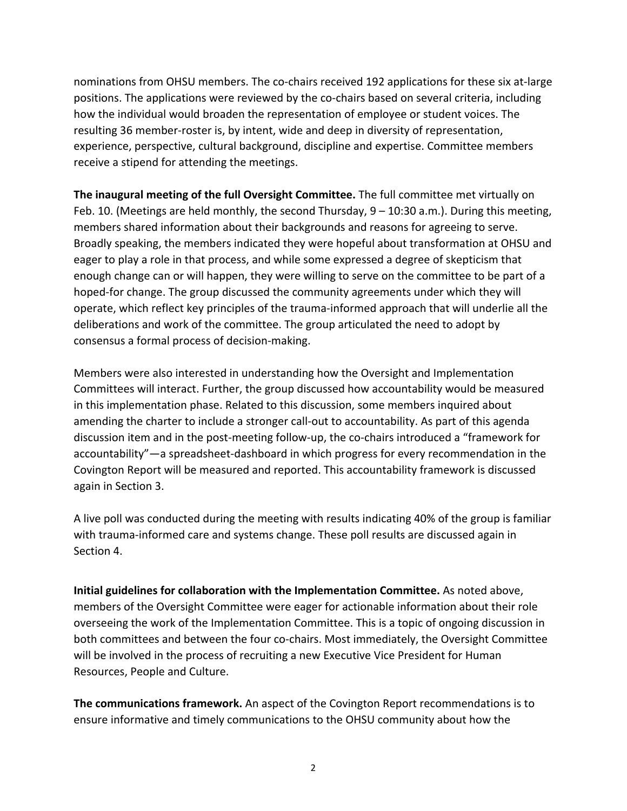nominations from OHSU members. The co-chairs received 192 applications for these six at-large positions. The applications were reviewed by the co-chairs based on several criteria, including how the individual would broaden the representation of employee or student voices. The resulting 36 member-roster is, by intent, wide and deep in diversity of representation, experience, perspective, cultural background, discipline and expertise. Committee members receive a stipend for attending the meetings.

**The inaugural meeting of the full Oversight Committee.** The full committee met virtually on Feb. 10. (Meetings are held monthly, the second Thursday, 9 – 10:30 a.m.). During this meeting, members shared information about their backgrounds and reasons for agreeing to serve. Broadly speaking, the members indicated they were hopeful about transformation at OHSU and eager to play a role in that process, and while some expressed a degree of skepticism that enough change can or will happen, they were willing to serve on the committee to be part of a hoped-for change. The group discussed the community agreements under which they will operate, which reflect key principles of the trauma-informed approach that will underlie all the deliberations and work of the committee. The group articulated the need to adopt by consensus a formal process of decision-making.

Members were also interested in understanding how the Oversight and Implementation Committees will interact. Further, the group discussed how accountability would be measured in this implementation phase. Related to this discussion, some members inquired about amending the charter to include a stronger call-out to accountability. As part of this agenda discussion item and in the post-meeting follow-up, the co-chairs introduced a "framework for accountability"—a spreadsheet-dashboard in which progress for every recommendation in the Covington Report will be measured and reported. This accountability framework is discussed again in Section 3.

A live poll was conducted during the meeting with results indicating 40% of the group is familiar with trauma-informed care and systems change. These poll results are discussed again in Section 4.

**Initial guidelines for collaboration with the Implementation Committee.** As noted above, members of the Oversight Committee were eager for actionable information about their role overseeing the work of the Implementation Committee. This is a topic of ongoing discussion in both committees and between the four co-chairs. Most immediately, the Oversight Committee will be involved in the process of recruiting a new Executive Vice President for Human Resources, People and Culture.

**The communications framework.** An aspect of the Covington Report recommendations is to ensure informative and timely communications to the OHSU community about how the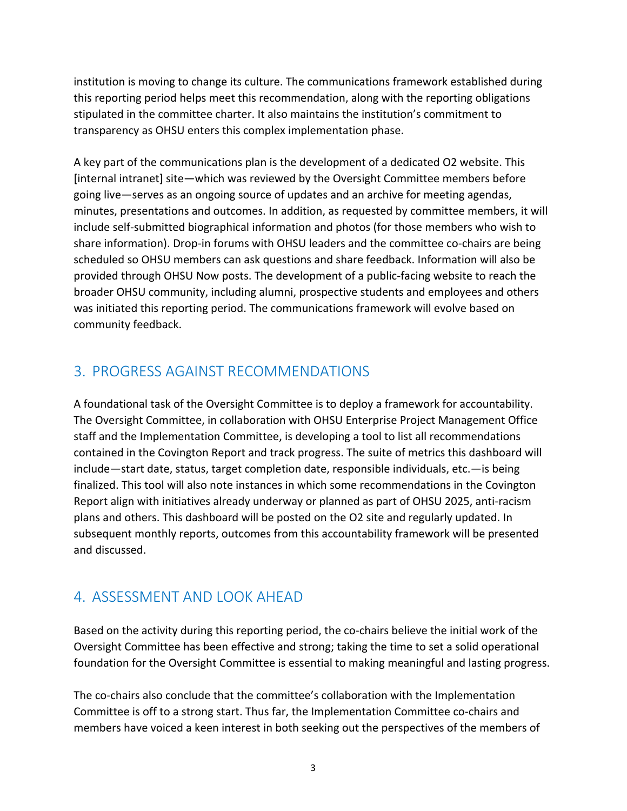institution is moving to change its culture. The communications framework established during this reporting period helps meet this recommendation, along with the reporting obligations stipulated in the committee charter. It also maintains the institution's commitment to transparency as OHSU enters this complex implementation phase.

A key part of the communications plan is the development of a dedicated O2 website. This [internal intranet] site—which was reviewed by the Oversight Committee members before going live—serves as an ongoing source of updates and an archive for meeting agendas, minutes, presentations and outcomes. In addition, as requested by committee members, it will include self-submitted biographical information and photos (for those members who wish to share information). Drop-in forums with OHSU leaders and the committee co-chairs are being scheduled so OHSU members can ask questions and share feedback. Information will also be provided through OHSU Now posts. The development of a public-facing website to reach the broader OHSU community, including alumni, prospective students and employees and others was initiated this reporting period. The communications framework will evolve based on community feedback.

#### 3. PROGRESS AGAINST RECOMMENDATIONS

A foundational task of the Oversight Committee is to deploy a framework for accountability. The Oversight Committee, in collaboration with OHSU Enterprise Project Management Office staff and the Implementation Committee, is developing a tool to list all recommendations contained in the Covington Report and track progress. The suite of metrics this dashboard will include—start date, status, target completion date, responsible individuals, etc.—is being finalized. This tool will also note instances in which some recommendations in the Covington Report align with initiatives already underway or planned as part of OHSU 2025, anti-racism plans and others. This dashboard will be posted on the O2 site and regularly updated. In subsequent monthly reports, outcomes from this accountability framework will be presented and discussed.

#### 4. ASSESSMENT AND LOOK AHEAD

Based on the activity during this reporting period, the co-chairs believe the initial work of the Oversight Committee has been effective and strong; taking the time to set a solid operational foundation for the Oversight Committee is essential to making meaningful and lasting progress.

The co-chairs also conclude that the committee's collaboration with the Implementation Committee is off to a strong start. Thus far, the Implementation Committee co-chairs and members have voiced a keen interest in both seeking out the perspectives of the members of